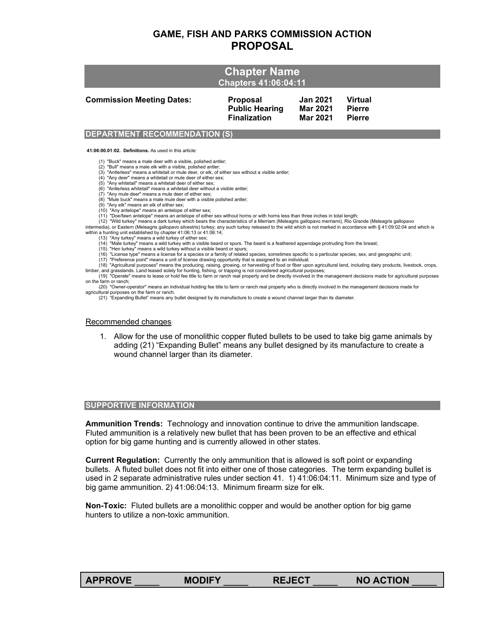# **GAME, FISH AND PARKS COMMISSION ACTION PROPOSAL**

| <b>Commission Meeting Dates:</b> | <b>Proposal</b>       | <b>Jan 2021</b> | <b>Virtual</b> |
|----------------------------------|-----------------------|-----------------|----------------|
|                                  | <b>Public Hearing</b> | Mar 2021        | <b>Pierre</b>  |
|                                  | <b>Finalization</b>   | <b>Mar 2021</b> | <b>Pierre</b>  |

## **DEPARTMENT RECOMMENDATION (S)**

**41:06:00.01:02. Definitions.** As used in this article:

(1) "Buck" means a male deer with a visible, polished antler;

(2) "Bull" means a male elk with a visible, polished antler; (3) "Antlerless" means a whitetail or mule deer, or elk, of either sex without a visible antler;

(4) "Any deer" means a whitetail or mule deer of either sex;

(5) "Any whitetail" means a whitetail deer of either sex; (6) "Antlerless whitetail" means a whitetail deer without a visible antler;

(7) "Any mule deer" means a mule deer of either sex; (8) "Mule buck" means a male mule deer with a visible polished antler;

(9) "Any elk" means an elk of either sex;

(10) "Any antelope" means an antelope of either sex; (11) "Doe/fawn antelope" means an antelope of either sex without horns or with horns less than three inches in total length;

 (12) "Wild turkey" means a dark turkey which bears the characteristics of a Merriam (Meleagris gallopavo merriami), Rio Grande (Meleagris gallopavo intermedia), or Eastern (Meleagris gallopavo silvestris) turkey; any such turkey released to the wild which is not marked in accordance with § 41:09:02:04 and which is<br>within a hunting unit established by chapter 41:06:13

(13) "Any turkey" means a wild turkey of either sex;

(14) "Male turkey" means a wild turkey with a visible beard or spurs. The beard is a feathered appendage protruding from the breast; (15) "Hen turkey" means a wild turkey without a visible beard or spurs;

(16) "License type" means a license for a species or a family of related species, sometimes specific to a particular species, sex, and geographic unit;

(17) "Preference point" means a unit of license drawing opportunity that is assigned to an individual;

 (18) "Agricultural purposes" means the producing, raising, growing, or harvesting of food or fiber upon agricultural land, including dairy products, livestock, crops, timber, and grasslands. Land leased solely for hunting, fishing, or trapping is not considered agricultural purposes;<br>(19) "Operate" means to lease or hold fee title to farm or ranch real property and be directly involved

on the farm or ranch; (20) "Owner-operator" means an individual holding fee title to farm or ranch real property who is directly involved in the management decisions made for

agricultural purposes on the farm or ranch.

(21) "Expanding Bullet" means any bullet designed by its manufacture to create a wound channel larger than its diameter.

#### Recommended changes:

1. Allow for the use of monolithic copper fluted bullets to be used to take big game animals by adding (21) "Expanding Bullet" means any bullet designed by its manufacture to create a wound channel larger than its diameter.

### **SUPPORTIVE INFORMATION**

**Ammunition Trends:** Technology and innovation continue to drive the ammunition landscape. Fluted ammunition is a relatively new bullet that has been proven to be an effective and ethical option for big game hunting and is currently allowed in other states.

**Current Regulation:** Currently the only ammunition that is allowed is soft point or expanding bullets. A fluted bullet does not fit into either one of those categories. The term expanding bullet is used in 2 separate administrative rules under section 41. 1) 41:06:04:11. Minimum size and type of big game ammunition. 2) 41:06:04:13. Minimum firearm size for elk.

**Non-Toxic:** Fluted bullets are a monolithic copper and would be another option for big game hunters to utilize a non-toxic ammunition.